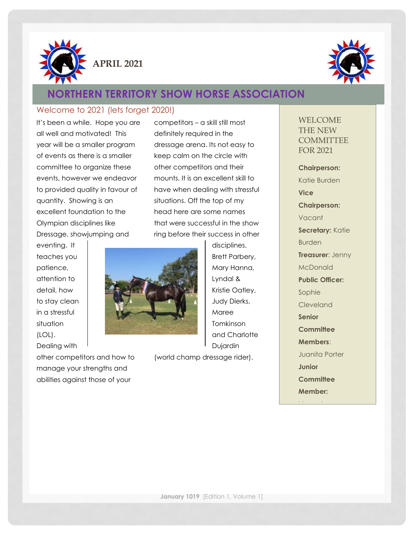



# **NORTHERN TERRITORY SHOW HORSE ASSOCIATION**

#### Welcome to 2021 (lets forget 2020!)

It's been a while. Hope you are all well and motivated! This year will be a smaller program of events as there is a smaller committee to organize these events, however we endeavor to provided quality in favour of quantity. Showing is an excellent foundation to the Olympian disciplines like Dressage, showjumping and

eventing. It teaches you patience, attention to detail, how to stay clean in a stressful situation (LOL). Dealing with

other competitors and how to manage your strengths and abilities against those of your



competitors – a skill still most definitely required in the dressage arena. Its not easy to keep calm on the circle with other competitors and their mounts. It is an excellent skill to have when dealing with stressful situations. Off the top of my head here are some names that were successful in the show ring before their success in other

> disciplines. Brett Parbery, Mary Hanna, Lyndal & Kristie Oatley, Judy Dierks, Maree Tomkinson and Charlotte Dujardin

(world champ dressage rider).

#### WELCOME THE NEW **COMMITTEE** FOR 2021

**Chairperson:** Katie Burden **Vice Chairperson:** Vacant **Secretary:** Katie Burden **Treasurer**: Jenny **McDonald Public Officer:**  Sophie Cleveland **Senior Committee Members**: Juanita Porter **Junior Committee Member:**

Vacant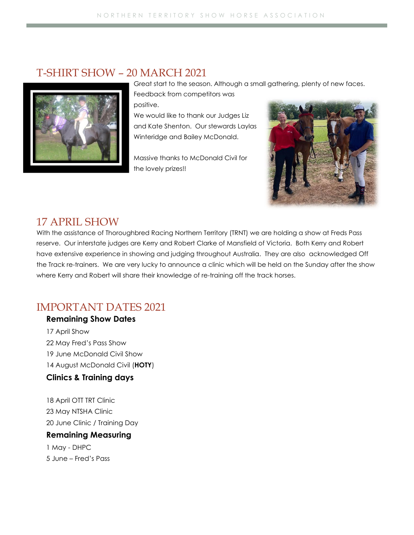### T-SHIRT SHOW – 20 MARCH 2021



Great start to the season. Although a small gathering, plenty of new faces.

Feedback from competitors was positive.

We would like to thank our Judges Liz and Kate Shenton. Our stewards Laylas Winteridge and Bailey McDonald.

Massive thanks to McDonald Civil for the lovely prizes!!



### 17 APRIL SHOW

With the assistance of Thoroughbred Racing Northern Territory (TRNT) we are holding a show at Freds Pass reserve. Our interstate judges are Kerry and Robert Clarke of Mansfield of Victoria. Both Kerry and Robert have extensive experience in showing and judging throughout Australia. They are also acknowledged Off the Track re-trainers. We are very lucky to announce a clinic which will be held on the Sunday after the show where Kerry and Robert will share their knowledge of re-training off the track horses.

### IMPORTANT DATES 2021

#### **Remaining Show Dates**

17 April Show 22 May Fred's Pass Show 19 June McDonald Civil Show 14 August McDonald Civil (**HOTY**) **Clinics & Training days**

18 April OTT TRT Clinic 23 May NTSHA Clinic 20 June Clinic / Training Day

### **Remaining Measuring**

1 May - DHPC 5 June – Fred's Pass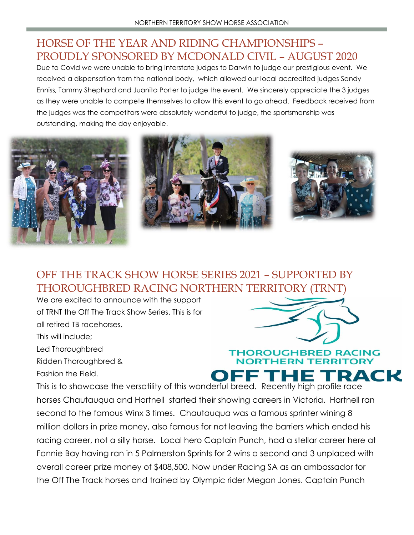# HORSE OF THE YEAR AND RIDING CHAMPIONSHIPS – PROUDLY SPONSORED BY MCDONALD CIVIL – AUGUST 2020

Due to Covid we were unable to bring interstate judges to Darwin to judge our prestigious event. We received a dispensation from the national body, which allowed our local accredited judges Sandy Enniss, Tammy Shephard and Juanita Porter to judge the event. We sincerely appreciate the 3 judges as they were unable to compete themselves to allow this event to go ahead. Feedback received from the judges was the competitors were absolutely wonderful to judge, the sportsmanship was outstanding, making the day enjoyable.



# OFF THE TRACK SHOW HORSE SERIES 2021 – SUPPORTED BY THOROUGHBRED RACING NORTHERN TERRITORY (TRNT)

We are excited to announce with the support of TRNT the Off The Track Show Series. This is for all retired TB racehorses.

This will include;

Led Thoroughbred

Ridden Thoroughbred &

Fashion the Field.



### **THOROUGHBRED RACING NORTHERN TERRITORY** TRACK

This is to showcase the versatility of this wonderful breed. Recently high profile race horses Chautauqua and Hartnell started their showing careers in Victoria. Hartnell ran second to the famous Winx 3 times. Chautauqua was a famous sprinter wining 8 million dollars in prize money, also famous for not leaving the barriers which ended his racing career, not a silly horse. Local hero Captain Punch, had a stellar career here at Fannie Bay having ran in 5 Palmerston Sprints for 2 wins a second and 3 unplaced with overall career prize money of \$408,500. Now under Racing SA as an ambassador for the Off The Track horses and trained by Olympic rider Megan Jones. Captain Punch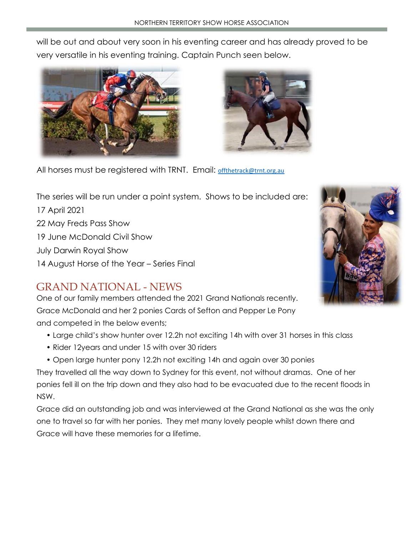will be out and about very soon in his eventing career and has already proved to be very versatile in his eventing training. Captain Punch seen below.





All horses must be registered with TRNT. Email: [offthetrack@trnt.org.au](mailto:offthetrack@trnt.org.au)

The series will be run under a point system. Shows to be included are:

17 April 2021 22 May Freds Pass Show 19 June McDonald Civil Show July Darwin Royal Show 14 August Horse of the Year – Series Final

# GRAND NATIONAL - NEWS

One of our family members attended the 2021 Grand Nationals recently. Grace McDonald and her 2 ponies Cards of Sefton and Pepper Le Pony and competed in the below events;

- Large child's show hunter over 12.2h not exciting 14h with over 31 horses in this class
- Rider 12years and under 15 with over 30 riders
- Open large hunter pony 12.2h not exciting 14h and again over 30 ponies

They travelled all the way down to Sydney for this event, not without dramas. One of her ponies fell ill on the trip down and they also had to be evacuated due to the recent floods in NSW.

Grace did an outstanding job and was interviewed at the Grand National as she was the only one to travel so far with her ponies. They met many lovely people whilst down there and Grace will have these memories for a lifetime.

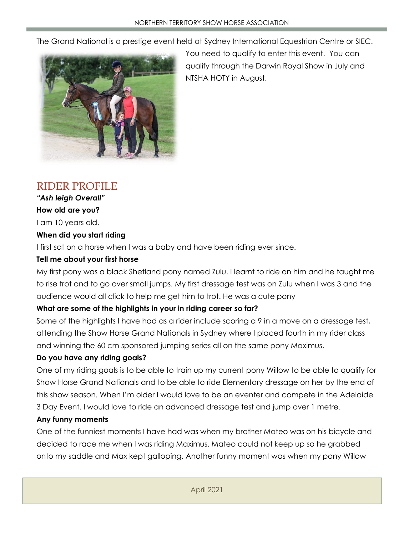The Grand National is a prestige event held at Sydney International Equestrian Centre or SIEC.



You need to qualify to enter this event. You can qualify through the Darwin Royal Show in July and NTSHA HOTY in August.

# RIDER PROFILE

*"Ash leigh Overall"* **How old are you?** 

I am 10 years old.

### **When did you start riding**

I first sat on a horse when I was a baby and have been riding ever since.

### **Tell me about your first horse**

My first pony was a black Shetland pony named Zulu. I learnt to ride on him and he taught me to rise trot and to go over small jumps. My first dressage test was on Zulu when I was 3 and the audience would all click to help me get him to trot. He was a cute pony

### **What are some of the highlights in your in riding career so far?**

Some of the highlights I have had as a rider include scoring a 9 in a move on a dressage test, attending the Show Horse Grand Nationals in Sydney where I placed fourth in my rider class and winning the 60 cm sponsored jumping series all on the same pony Maximus.

### **Do you have any riding goals?**

One of my riding goals is to be able to train up my current pony Willow to be able to qualify for Show Horse Grand Nationals and to be able to ride Elementary dressage on her by the end of this show season. When I'm older I would love to be an eventer and compete in the Adelaide 3 Day Event. I would love to ride an advanced dressage test and jump over 1 metre.

#### **Any funny moments**

One of the funniest moments I have had was when my brother Mateo was on his bicycle and decided to race me when I was riding Maximus. Mateo could not keep up so he grabbed onto my saddle and Max kept galloping. Another funny moment was when my pony Willow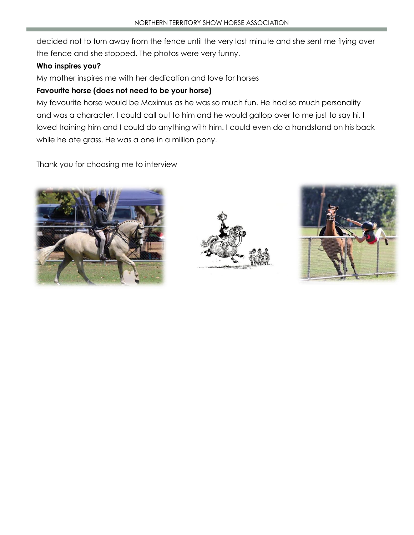decided not to turn away from the fence until the very last minute and she sent me flying over the fence and she stopped. The photos were very funny.

#### **Who inspires you?**

My mother inspires me with her dedication and love for horses

#### **Favourite horse (does not need to be your horse)**

My favourite horse would be Maximus as he was so much fun. He had so much personality and was a character. I could call out to him and he would gallop over to me just to say hi. I loved training him and I could do anything with him. I could even do a handstand on his back while he ate grass. He was a one in a million pony.

Thank you for choosing me to interview